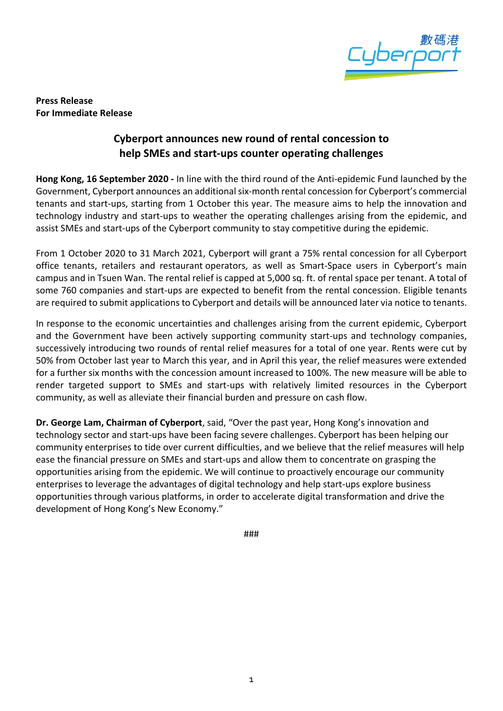

**Press Release For Immediate Release** 

## **Cyberport announces new round of rental concession to help SMEs and start-ups counter operating challenges**

**Hong Kong, 16 September 2020 -** In line with the third round of the Anti-epidemic Fund launched by the Government, Cyberport announces an additional six-month rental concession for Cyberport's commercial tenants and start-ups, starting from 1 October this year. The measure aims to help the innovation and technology industry and start-ups to weather the operating challenges arising from the epidemic, and assist SMEs and start-ups of the Cyberport community to stay competitive during the epidemic.

From 1 October 2020 to 31 March 2021, Cyberport will grant a 75% rental concession for all Cyberport office tenants, retailers and restaurant operators, as well as Smart-Space users in Cyberport's main campus and in Tsuen Wan. The rental relief is capped at 5,000 sq. ft. of rental space per tenant. A total of some 760 companies and start-ups are expected to benefit from the rental concession. Eligible tenants are required to submit applications to Cyberport and details will be announced later via notice to tenants.

In response to the economic uncertainties and challenges arising from the current epidemic, Cyberport and the Government have been actively supporting community start-ups and technology companies, successively introducing two rounds of rental relief measures for a total of one year. Rents were cut by 50% from October last year to March this year, and in April this year, the relief measures were extended for a further six months with the concession amount increased to 100%. The new measure will be able to render targeted support to SMEs and start-ups with relatively limited resources in the Cyberport community, as well as alleviate their financial burden and pressure on cash flow.

**Dr. George Lam, Chairman of Cyberport**, said, "Over the past year, Hong Kong's innovation and technology sector and start-ups have been facing severe challenges. Cyberport has been helping our community enterprises to tide over current difficulties, and we believe that the relief measures will help ease the financial pressure on SMEs and start-ups and allow them to concentrate on grasping the opportunities arising from the epidemic. We will continue to proactively encourage our community enterprises to leverage the advantages of digital technology and help start-ups explore business opportunities through various platforms, in order to accelerate digital transformation and drive the development of Hong Kong's New Economy."

###